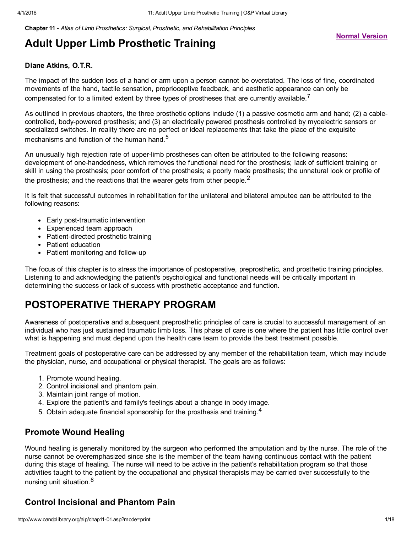Chapter 11 *Atlas of Limb Prosthetics: Surgical, Prosthetic, and Rehabilitation Principles*

#### Diane Atkins, O.T.R.

The impact of the sudden loss of a hand or arm upon a person cannot be overstated. The loss of fine, coordinated movements of the hand, tactile sensation, proprioceptive feedback, and aesthetic appearance can only be compensated for to a limited extent by three types of prostheses that are currently available.<sup>7</sup>

As outlined in previous chapters, the three prosthetic options include (1) a passive cosmetic arm and hand; (2) a cablecontrolled, body-powered prosthesis; and (3) an electrically powered prosthesis controlled by myoelectric sensors or specialized switches. In reality there are no perfect or ideal replacements that take the place of the exquisite mechanisms and function of the human hand. $^{\mathbf{5}}$ 

An unusually high rejection rate of upperlimb prostheses can often be attributed to the following reasons: development of one-handedness, which removes the functional need for the prosthesis; lack of sufficient training or skill in using the prosthesis; poor comfort of the prosthesis; a poorly made prosthesis; the unnatural look or profile of the prosthesis; and the reactions that the wearer gets from other people. $^{\mathsf{2}}$ 

It is felt that successful outcomes in rehabilitation for the unilateral and bilateral amputee can be attributed to the following reasons:

- Early post-traumatic intervention
- Experienced team approach
- Patient-directed prosthetic training
- Patient education
- Patient monitoring and follow-up

The focus of this chapter is to stress the importance of postoperative, preprosthetic, and prosthetic training principles. Listening to and acknowledging the patient's psychological and functional needs will be critically important in determining the success or lack of success with prosthetic acceptance and function.

# POSTOPERATIVE THERAPY PROGRAM

Awareness of postoperative and subsequent preprosthetic principles of care is crucial to successful management of an individual who has just sustained traumatic limb loss. This phase of care is one where the patient has little control over what is happening and must depend upon the health care team to provide the best treatment possible.

Treatment goals of postoperative care can be addressed by any member of the rehabilitation team, which may include the physician, nurse, and occupational or physical therapist. The goals are as follows:

- 1. Promote wound healing.
- 2. Control incisional and phantom pain.
- 3. Maintain joint range of motion.
- 4. Explore the patient's and family's feelings about a change in body image.
- 5. Obtain adequate financial sponsorship for the prosthesis and training.<sup>4</sup>

#### Promote Wound Healing

Wound healing is generally monitored by the surgeon who performed the amputation and by the nurse. The role of the nurse cannot be overemphasized since she is the member of the team having continuous contact with the patient during this stage of healing. The nurse will need to be active in the patient's rehabilitation program so that those activities taught to the patient by the occupational and physical therapists may be carried over successfully to the nursing unit situation.<sup>8</sup>

## Control Incisional and Phantom Pain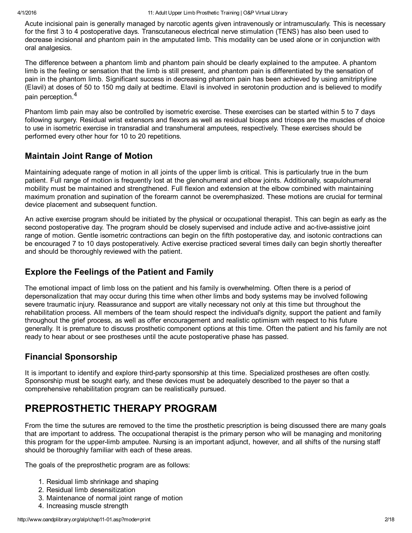Acute incisional pain is generally managed by narcotic agents given intravenously or intramuscularly. This is necessary for the first 3 to 4 postoperative days. Transcutaneous electrical nerve stimulation (TENS) has also been used to decrease incisional and phantom pain in the amputated limb. This modality can be used alone or in conjunction with oral analgesics.

The difference between a phantom limb and phantom pain should be clearly explained to the amputee. A phantom limb is the feeling or sensation that the limb is still present, and phantom pain is differentiated by the sensation of pain in the phantom limb. Significant success in decreasing phantom pain has been achieved by using amitriptyline (Elavil) at doses of 50 to 150 mg daily at bedtime. Elavil is involved in serotonin production and is believed to modify pain perception. 4

Phantom limb pain may also be controlled by isometric exercise. These exercises can be started within 5 to 7 days following surgery. Residual wrist extensors and flexors as well as residual biceps and triceps are the muscles of choice to use in isometric exercise in transradial and transhumeral amputees, respectively. These exercises should be performed every other hour for 10 to 20 repetitions.

#### Maintain Joint Range of Motion

Maintaining adequate range of motion in all joints of the upper limb is critical. This is particularly true in the burn patient. Full range of motion is frequently lost at the glenohumeral and elbow joints. Additionally, scapulohumeral mobility must be maintained and strengthened. Full flexion and extension at the elbow combined with maintaining maximum pronation and supination of the forearm cannot be overemphasized. These motions are crucial for terminal device placement and subsequent function.

An active exercise program should be initiated by the physical or occupational therapist. This can begin as early as the second postoperative day. The program should be closely supervised and include active and ac-tive-assistive joint range of motion. Gentle isometric contractions can begin on the fifth postoperative day, and isotonic contractions can be encouraged 7 to 10 days postoperatively. Active exercise practiced several times daily can begin shortly thereafter and should be thoroughly reviewed with the patient.

## Explore the Feelings of the Patient and Family

The emotional impact of limb loss on the patient and his family is overwhelming. Often there is a period of depersonalization that may occur during this time when other limbs and body systems may be involved following severe traumatic injury. Reassurance and support are vitally necessary not only at this time but throughout the rehabilitation process. All members of the team should respect the individual's dignity, support the patient and family throughout the grief process, as well as offer encouragement and realistic optimism with respect to his future generally. It is premature to discuss prosthetic component options at this time. Often the patient and his family are not ready to hear about or see prostheses until the acute postoperative phase has passed.

## Financial Sponsorship

It is important to identify and explore third-party sponsorship at this time. Specialized prostheses are often costly. Sponsorship must be sought early, and these devices must be adequately described to the payer so that a comprehensive rehabilitation program can be realistically pursued.

# PREPROSTHETIC THERAPY PROGRAM

From the time the sutures are removed to the time the prosthetic prescription is being discussed there are many goals that are important to address. The occupational therapist is the primary person who will be managing and monitoring this program for the upperlimb amputee. Nursing is an important adjunct, however, and all shifts of the nursing staff should be thoroughly familiar with each of these areas.

The goals of the preprosthetic program are as follows:

- 1. Residual limb shrinkage and shaping
- 2. Residual limb desensitization
- 3. Maintenance of normal joint range of motion
- 4. Increasing muscle strength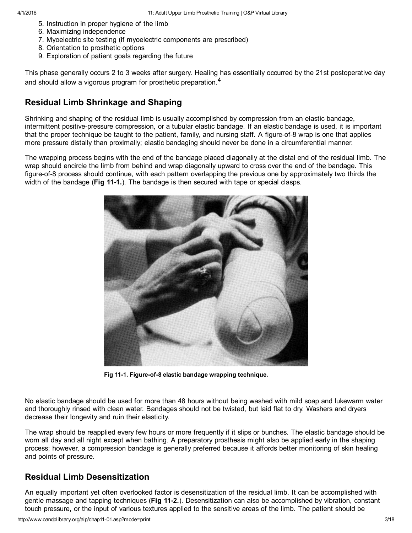- 5. Instruction in proper hygiene of the limb
- 6. Maximizing independence
- 7. Myoelectric site testing (if myoelectric components are prescribed)
- 8. Orientation to prosthetic options
- 9. Exploration of patient goals regarding the future

This phase generally occurs 2 to 3 weeks after surgery. Healing has essentially occurred by the 21st postoperative day and should allow a vigorous program for prosthetic preparation. $^{\rm 4}$ 

#### Residual Limb Shrinkage and Shaping

Shrinking and shaping of the residual limb is usually accomplished by compression from an elastic bandage, intermittent positive-pressure compression, or a tubular elastic bandage. If an elastic bandage is used, it is important that the proper technique be taught to the patient, family, and nursing staff. A figure-of-8 wrap is one that applies more pressure distally than proximally; elastic bandaging should never be done in a circumferential manner.

The wrapping process begins with the end of the bandage placed diagonally at the distal end of the residual limb. The wrap should encircle the limb from behind and wrap diagonally upward to cross over the end of the bandage. This figure-of-8 process should continue, with each pattern overlapping the previous one by approximately two thirds the width of the bandage ( $Fig 11-1$ .). The bandage is then secured with tape or special clasps.



Fig 11-1. Figure-of-8 elastic bandage wrapping technique.

No elastic bandage should be used for more than 48 hours without being washed with mild soap and lukewarm water and thoroughly rinsed with clean water. Bandages should not be twisted, but laid flat to dry. Washers and dryers decrease their longevity and ruin their elasticity.

The wrap should be reapplied every few hours or more frequently if it slips or bunches. The elastic bandage should be worn all day and all night except when bathing. A preparatory prosthesis might also be applied early in the shaping process; however, a compression bandage is generally preferred because it affords better monitoring of skin healing and points of pressure.

#### Residual Limb Desensitization

An equally important yet often overlooked factor is desensitization of the residual limb. It can be accomplished with gentle massage and tapping techniques (Fig 11-2.). Desensitization can also be accomplished by vibration, constant touch pressure, or the input of various textures applied to the sensitive areas of the limb. The patient should be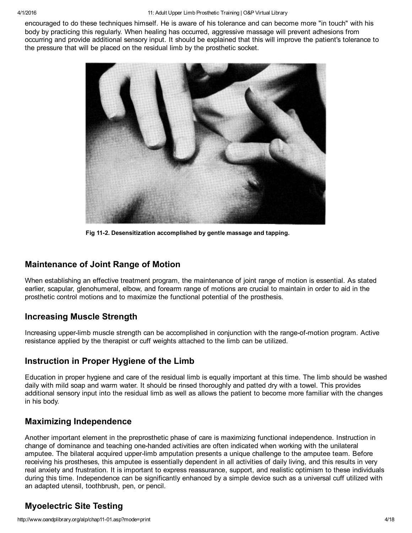encouraged to do these techniques himself. He is aware of his tolerance and can become more "in touch" with his body by practicing this regularly. When healing has occurred, aggressive massage will prevent adhesions from occurring and provide additional sensory input. It should be explained that this will improve the patient's tolerance to the pressure that will be placed on the residual limb by the prosthetic socket.



Fig 11-2. Desensitization accomplished by gentle massage and tapping.

#### Maintenance of Joint Range of Motion

When establishing an effective treatment program, the maintenance of joint range of motion is essential. As stated earlier, scapular, glenohumeral, elbow, and forearm range of motions are crucial to maintain in order to aid in the prosthetic control motions and to maximize the functional potential of the prosthesis.

#### Increasing Muscle Strength

Increasing upper-limb muscle strength can be accomplished in conjunction with the range-of-motion program. Active resistance applied by the therapist or cuff weights attached to the limb can be utilized.

#### Instruction in Proper Hygiene of the Limb

Education in proper hygiene and care of the residual limb is equally important at this time. The limb should be washed daily with mild soap and warm water. It should be rinsed thoroughly and patted dry with a towel. This provides additional sensory input into the residual limb as well as allows the patient to become more familiar with the changes in his body.

#### Maximizing Independence

Another important element in the preprosthetic phase of care is maximizing functional independence. Instruction in change of dominance and teaching one-handed activities are often indicated when working with the unilateral amputee. The bilateral acquired upperlimb amputation presents a unique challenge to the amputee team. Before receiving his prostheses, this amputee is essentially dependent in all activities of daily living, and this results in very real anxiety and frustration. It is important to express reassurance, support, and realistic optimism to these individuals during this time. Independence can be significantly enhanced by a simple device such as a universal cuff utilized with an adapted utensil, toothbrush, pen, or pencil.

#### Myoelectric Site Testing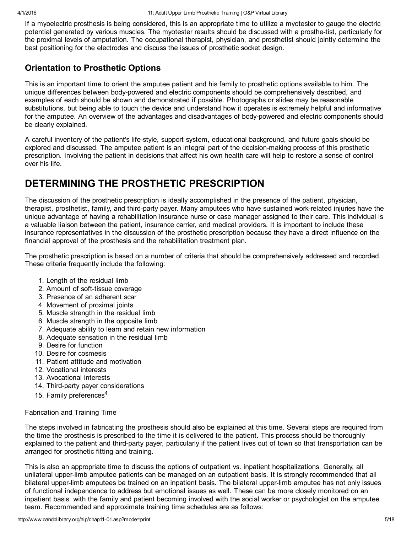If a myoelectric prosthesis is being considered, this is an appropriate time to utilize a myotester to gauge the electric potential generated by various muscles. The myotester results should be discussed with a prosthe-tist, particularly for the proximal levels of amputation. The occupational therapist, physician, and prosthetist should jointly determine the best positioning for the electrodes and discuss the issues of prosthetic socket design.

#### Orientation to Prosthetic Options

This is an important time to orient the amputee patient and his family to prosthetic options available to him. The unique differences between body-powered and electric components should be comprehensively described, and examples of each should be shown and demonstrated if possible. Photographs or slides may be reasonable substitutions, but being able to touch the device and understand how it operates is extremely helpful and informative for the amputee. An overview of the advantages and disadvantages of body-powered and electric components should be clearly explained.

A careful inventory of the patient's life-style, support system, educational background, and future goals should be explored and discussed. The amputee patient is an integral part of the decision-making process of this prosthetic prescription. Involving the patient in decisions that affect his own health care will help to restore a sense of control over his life.

# DETERMINING THE PROSTHETIC PRESCRIPTION

The discussion of the prosthetic prescription is ideally accomplished in the presence of the patient, physician, therapist, prosthetist, family, and third-party payer. Many amputees who have sustained work-related injuries have the unique advantage of having a rehabilitation insurance nurse or case manager assigned to their care. This individual is a valuable liaison between the patient, insurance carrier, and medical providers. It is important to include these insurance representatives in the discussion of the prosthetic prescription because they have a direct influence on the financial approval of the prosthesis and the rehabilitation treatment plan.

The prosthetic prescription is based on a number of criteria that should be comprehensively addressed and recorded. These criteria frequently include the following:

- 1. Length of the residual limb
- 2. Amount of soft-tissue coverage
- 3. Presence of an adherent scar
- 4. Movement of proximal joints
- 5. Muscle strength in the residual limb
- 6. Muscle strength in the opposite limb
- 7. Adequate ability to learn and retain new information
- 8. Adequate sensation in the residual limb
- 9. Desire for function
- 10. Desire for cosmesis
- 11. Patient attitude and motivation
- 12. Vocational interests
- 13. Avocational interests
- 14. Third-party payer considerations
- 15. Family preferences<sup>4</sup>

#### Fabrication and Training Time

The steps involved in fabricating the prosthesis should also be explained at this time. Several steps are required from the time the prosthesis is prescribed to the time it is delivered to the patient. This process should be thoroughly explained to the patient and third-party payer, particularly if the patient lives out of town so that transportation can be arranged for prosthetic fitting and training.

This is also an appropriate time to discuss the options of outpatient vs. inpatient hospitalizations. Generally, all unilateral upperlimb amputee patients can be managed on an outpatient basis. It is strongly recommended that all bilateral upperlimb amputees be trained on an inpatient basis. The bilateral upperlimb amputee has not only issues of functional independence to address but emotional issues as well. These can be more closely monitored on an inpatient basis, with the family and patient becoming involved with the social worker or psychologist on the amputee team. Recommended and approximate training time schedules are as follows: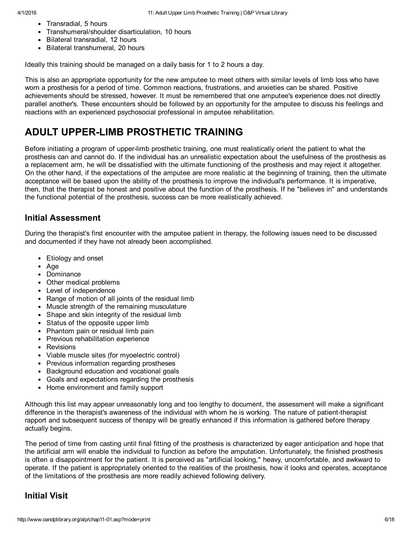- Transradial, 5 hours
- Transhumeral/shoulder disarticulation, 10 hours
- Bilateral transradial, 12 hours
- Bilateral transhumeral, 20 hours

Ideally this training should be managed on a daily basis for 1 to 2 hours a day.

This is also an appropriate opportunity for the new amputee to meet others with similar levels of limb loss who have worn a prosthesis for a period of time. Common reactions, frustrations, and anxieties can be shared. Positive achievements should be stressed, however. It must be remembered that one amputee's experience does not directly parallel another's. These encounters should be followed by an opportunity for the amputee to discuss his feelings and reactions with an experienced psychosocial professional in amputee rehabilitation.

# ADULT UPPERLIMB PROSTHETIC TRAINING

Before initiating a program of upperlimb prosthetic training, one must realistically orient the patient to what the prosthesis can and cannot do. If the individual has an unrealistic expectation about the usefulness of the prosthesis as a replacement arm, he will be dissatisfied with the ultimate functioning of the prosthesis and may reject it altogether. On the other hand, if the expectations of the amputee are more realistic at the beginning of training, then the ultimate acceptance will be based upon the ability of the prosthesis to improve the individual's performance. It is imperative, then, that the therapist be honest and positive about the function of the prosthesis. If he "believes in" and understands the functional potential of the prosthesis, success can be more realistically achieved.

#### Initial Assessment

During the therapist's first encounter with the amputee patient in therapy, the following issues need to be discussed and documented if they have not already been accomplished.

- Etiology and onset
- Age
- Dominance
- Other medical problems
- Level of independence
- Range of motion of all joints of the residual limb
- Muscle strength of the remaining musculature
- Shape and skin integrity of the residual limb
- Status of the opposite upper limb
- Phantom pain or residual limb pain
- Previous rehabilitation experience
- Revisions
- Viable muscle sites (for myoelectric control)
- Previous information regarding prostheses
- Background education and vocational goals
- Goals and expectations regarding the prosthesis
- Home environment and family support

Although this list may appear unreasonably long and too lengthy to document, the assessment will make a significant difference in the therapist's awareness of the individual with whom he is working. The nature of patient-therapist rapport and subsequent success of therapy will be greatly enhanced if this information is gathered before therapy actually begins.

The period of time from casting until final fitting of the prosthesis is characterized by eager anticipation and hope that the artificial arm will enable the individual to function as before the amputation. Unfortunately, the finished prosthesis is often a disappointment for the patient. It is perceived as "artificial looking," heavy, uncomfortable, and awkward to operate. If the patient is appropriately oriented to the realities of the prosthesis, how it looks and operates, acceptance of the limitations of the prosthesis are more readily achieved following delivery.

#### Initial Visit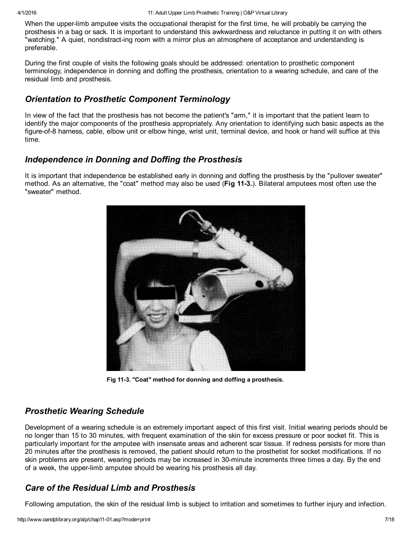When the upper-limb amputee visits the occupational therapist for the first time, he will probably be carrying the prosthesis in a bag or sack. It is important to understand this awkwardness and reluctance in putting it on with others "watching." A quiet, nondistract-ing room with a mirror plus an atmosphere of acceptance and understanding is preferable.

During the first couple of visits the following goals should be addressed: orientation to prosthetic component terminology, independence in donning and doffing the prosthesis, orientation to a wearing schedule, and care of the residual limb and prosthesis.

#### *Orientation to Prosthetic Component Terminology*

In view of the fact that the prosthesis has not become the patient's "arm," it is important that the patient learn to identify the major components of the prosthesis appropriately. Any orientation to identifying such basic aspects as the figure-of-8 harness, cable, elbow unit or elbow hinge, wrist unit, terminal device, and hook or hand will suffice at this time.

#### *Independence in Donning and Doffing the Prosthesis*

It is important that independence be established early in donning and doffing the prosthesis by the "pullover sweater" method. As an alternative, the "coat" method may also be used (Fig 11-3.). Bilateral amputees most often use the "sweater" method.



Fig 11-3. "Coat" method for donning and doffing a prosthesis.

#### *Prosthetic Wearing Schedule*

Development of a wearing schedule is an extremely important aspect of this first visit. Initial wearing periods should be no longer than 15 to 30 minutes, with frequent examination of the skin for excess pressure or poor socket fit. This is particularly important for the amputee with insensate areas and adherent scar tissue. If redness persists for more than 20 minutes after the prosthesis is removed, the patient should return to the prosthetist for socket modifications. If no skin problems are present, wearing periods may be increased in 30-minute increments three times a day. By the end of a week, the upperlimb amputee should be wearing his prosthesis all day.

## *Care of the Residual Limb and Prosthesis*

Following amputation, the skin of the residual limb is subject to irritation and sometimes to further injury and infection.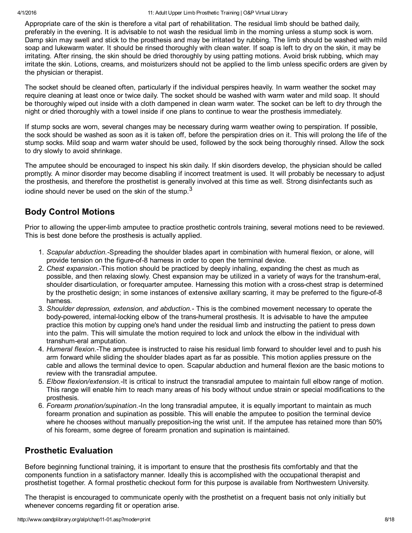Appropriate care of the skin is therefore a vital part of rehabilitation. The residual limb should be bathed daily, preferably in the evening. It is advisable to not wash the residual limb in the morning unless a stump sock is worn. Damp skin may swell and stick to the prosthesis and may be irritated by rubbing. The limb should be washed with mild soap and lukewarm water. It should be rinsed thoroughly with clean water. If soap is left to dry on the skin, it may be irritating. After rinsing, the skin should be dried thoroughly by using patting motions. Avoid brisk rubbing, which may irritate the skin. Lotions, creams, and moisturizers should not be applied to the limb unless specific orders are given by the physician or therapist.

The socket should be cleaned often, particularly if the individual perspires heavily. In warm weather the socket may require cleaning at least once or twice daily. The socket should be washed with warm water and mild soap. It should be thoroughly wiped out inside with a cloth dampened in clean warm water. The socket can be left to dry through the night or dried thoroughly with a towel inside if one plans to continue to wear the prosthesis immediately.

If stump socks are worn, several changes may be necessary during warm weather owing to perspiration. If possible, the sock should be washed as soon as it is taken off, before the perspiration dries on it. This will prolong the life of the stump socks. Mild soap and warm water should be used, followed by the sock being thoroughly rinsed. Allow the sock to dry slowly to avoid shrinkage.

The amputee should be encouraged to inspect his skin daily. If skin disorders develop, the physician should be called promptly. A minor disorder may become disabling if incorrect treatment is used. It will probably be necessary to adjust the prosthesis, and therefore the prosthetist is generally involved at this time as well. Strong disinfectants such as iodine should never be used on the skin of the stump. $^3$ 

## Body Control Motions

Prior to allowing the upperlimb amputee to practice prosthetic controls training, several motions need to be reviewed. This is best done before the prosthesis is actually applied.

- 1. *Scapular abduction.*Spreading the shoulder blades apart in combination with humeral flexion, or alone, will provide tension on the figure-of-8 harness in order to open the terminal device.
- 2. *Chest expansion.*This motion should be practiced by deeply inhaling, expanding the chest as much as possible, and then relaxing slowly. Chest expansion may be utilized in a variety of ways for the transhumeral, shoulder disarticulation, or forequarter amputee. Harnessing this motion with a crosschest strap is determined by the prosthetic design; in some instances of extensive axillary scarring, it may be preferred to the figure-of-8 harness.
- 3. *Shoulder depression, extension, and abduction.* This is the combined movement necessary to operate the body-powered, internal-locking elbow of the trans-humeral prosthesis. It is advisable to have the amputee practice this motion by cupping one's hand under the residual limb and instructing the patient to press down into the palm. This will simulate the motion required to lock and unlock the elbow in the individual with transhum-eral amputation.
- 4. *Humeral flexion.*The amputee is instructed to raise his residual limb forward to shoulder level and to push his arm forward while sliding the shoulder blades apart as far as possible. This motion applies pressure on the cable and allows the terminal device to open. Scapular abduction and humeral flexion are the basic motions to review with the transradial amputee.
- 5. *Elbow flexion/extension.*It is critical to instruct the transradial amputee to maintain full elbow range of motion. This range will enable him to reach many areas of his body without undue strain or special modifications to the prosthesis.
- 6. *Forearm pronation/supination.*In the long transradial amputee, it is equally important to maintain as much forearm pronation and supination as possible. This will enable the amputee to position the terminal device where he chooses without manually preposition-ing the wrist unit. If the amputee has retained more than 50% of his forearm, some degree of forearm pronation and supination is maintained.

## Prosthetic Evaluation

Before beginning functional training, it is important to ensure that the prosthesis fits comfortably and that the components function in a satisfactory manner. Ideally this is accomplished with the occupational therapist and prosthetist together. A formal prosthetic checkout form for this purpose is available from Northwestern University.

The therapist is encouraged to communicate openly with the prosthetist on a frequent basis not only initially but whenever concerns regarding fit or operation arise.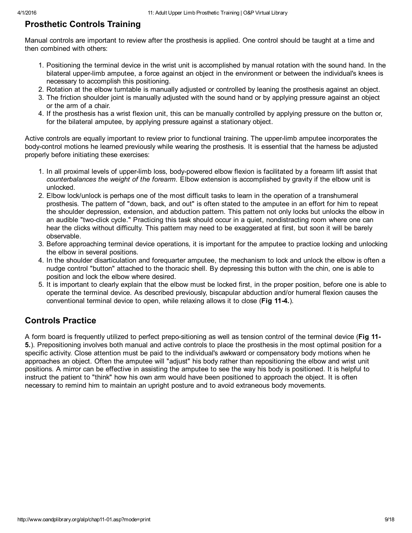## Prosthetic Controls Training

Manual controls are important to review after the prosthesis is applied. One control should be taught at a time and then combined with others:

- 1. Positioning the terminal device in the wrist unit is accomplished by manual rotation with the sound hand. In the bilateral upperlimb amputee, a force against an object in the environment or between the individual's knees is necessary to accomplish this positioning.
- 2. Rotation at the elbow turntable is manually adjusted or controlled by leaning the prosthesis against an object.
- 3. The friction shoulder joint is manually adjusted with the sound hand or by applying pressure against an object or the arm of a chair.
- 4. If the prosthesis has a wrist flexion unit, this can be manually controlled by applying pressure on the button or, for the bilateral amputee, by applying pressure against a stationary object.

Active controls are equally important to review prior to functional training. The upperlimb amputee incorporates the bodycontrol motions he learned previously while wearing the prosthesis. It is essential that the harness be adjusted properly before initiating these exercises:

- 1. In all proximal levels of upperlimb loss, bodypowered elbow flexion is facilitated by a forearm lift assist that *counterbalances the weight of the forearm.* Elbow extension is accomplished by gravity if the elbow unit is unlocked.
- 2. Elbow lock/unlock is perhaps one of the most difficult tasks to learn in the operation of a transhumeral prosthesis. The pattern of "down, back, and out" is often stated to the amputee in an effort for him to repeat the shoulder depression, extension, and abduction pattern. This pattern not only locks but unlocks the elbow in an audible "twoclick cycle." Practicing this task should occur in a quiet, nondistracting room where one can hear the clicks without difficulty. This pattern may need to be exaggerated at first, but soon it will be barely observable.
- 3. Before approaching terminal device operations, it is important for the amputee to practice locking and unlocking the elbow in several positions.
- 4. In the shoulder disarticulation and forequarter amputee, the mechanism to lock and unlock the elbow is often a nudge control "button" attached to the thoracic shell. By depressing this button with the chin, one is able to position and lock the elbow where desired.
- 5. It is important to clearly explain that the elbow must be locked first, in the proper position, before one is able to operate the terminal device. As described previously, biscapular abduction and/or humeral flexion causes the conventional terminal device to open, while relaxing allows it to close (Fig 114.).

## Controls Practice

A form board is frequently utilized to perfect prepo-sitioning as well as tension control of the terminal device (Fig 11-5.). Prepositioning involves both manual and active controls to place the prosthesis in the most optimal position for a specific activity. Close attention must be paid to the individual's awkward or compensatory body motions when he approaches an object. Often the amputee will "adjust" his body rather than repositioning the elbow and wrist unit positions. A mirror can be effective in assisting the amputee to see the way his body is positioned. It is helpful to instruct the patient to "think" how his own arm would have been positioned to approach the object. It is often necessary to remind him to maintain an upright posture and to avoid extraneous body movements.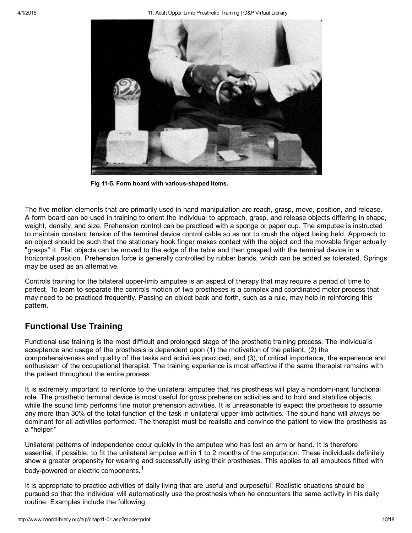

Fig 11-5. Form board with various-shaped items.

The five motion elements that are primarily used in hand manipulation are reach, grasp, move, position, and release. A form board can be used in training to orient the individual to approach, grasp, and release objects differing in shape, weight, density, and size. Prehension control can be practiced with a sponge or paper cup. The amputee is instructed to maintain constant tension of the terminal device control cable so as not to crush the object being held. Approach to an object should be such that the stationary hook finger makes contact with the object and the movable finger actually "grasps" it. Flat objects can be moved to the edge of the table and then grasped with the terminal device in a horizontal position. Prehension force is generally controlled by rubber bands, which can be added as tolerated. Springs may be used as an alternative.

Controls training for the bilateral upper-limb amputee is an aspect of therapy that may require a period of time to perfect. To learn to separate the controls motion of two prostheses is a complex and coordinated motor process that may need to be practiced frequently. Passing an object back and forth, such as a rule, may help in reinforcing this pattern.

## Functional Use Training

Functional use training is the most difficult and prolonged stage of the prosthetic training process. The individua'ls acceptance and usage of the prosthesis is dependent upon (1) the motivation of the patient, (2) the comprehensiveness and quality of the tasks and activities practiced, and (3), of critical importance, the experience and enthusiasm of the occupational therapist. The training experience is most effective if the same therapist remains with the patient throughout the entire process.

It is extremely important to reinforce to the unilateral amputee that his prosthesis will play a nondomi-nant functional role. The prosthetic terminal device is most useful for gross prehension activities and to hold and stabilize objects, while the sound limb performs fine motor prehension activities. It is unreasonable to expect the prosthesis to assume any more than 30% of the total function of the task in unilateral upper-limb activities. The sound hand will always be dominant for all activities performed. The therapist must be realistic and convince the patient to view the prosthesis as a "helper."

Unilateral patterns of independence occur quickly in the amputee who has lost an arm or hand. It is therefore essential, if possible, to fit the unilateral amputee within 1 to 2 months of the amputation. These individuals definitely show a greater propensity for wearing and successfully using their prostheses. This applies to all amputees fitted with body-powered or electric components.<sup>1</sup>

It is appropriate to practice activities of daily living that are useful and purposeful. Realistic situations should be pursued so that the individual will automatically use the prosthesis when he encounters the same activity in his daily routine. Examples include the following: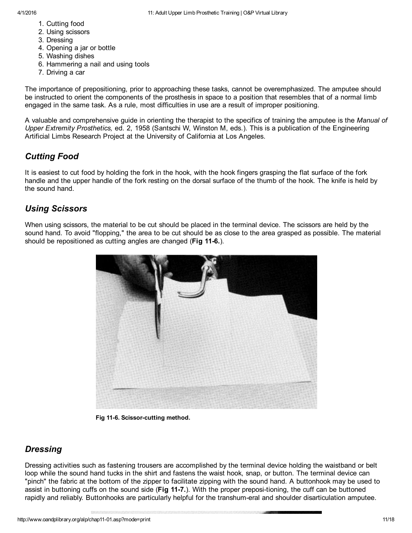- 1. Cutting food
- 2. Using scissors
- 3. Dressing
- 4. Opening a jar or bottle
- 5. Washing dishes
- 6. Hammering a nail and using tools
- 7. Driving a car

The importance of prepositioning, prior to approaching these tasks, cannot be overemphasized. The amputee should be instructed to orient the components of the prosthesis in space to a position that resembles that of a normal limb engaged in the same task. As a rule, most difficulties in use are a result of improper positioning.

A valuable and comprehensive guide in orienting the therapist to the specifics of training the amputee is the *Manual of Upper Extremity Prosthetics,* ed. 2, 1958 (Santschi W, Winston M, eds.). This is a publication of the Engineering Artificial Limbs Research Project at the University of California at Los Angeles.

## *Cutting Food*

It is easiest to cut food by holding the fork in the hook, with the hook fingers grasping the flat surface of the fork handle and the upper handle of the fork resting on the dorsal surface of the thumb of the hook. The knife is held by the sound hand.

## *Using Scissors*

When using scissors, the material to be cut should be placed in the terminal device. The scissors are held by the sound hand. To avoid "flopping," the area to be cut should be as close to the area grasped as possible. The material should be repositioned as cutting angles are changed (Fig 11-6.).



Fig 11-6. Scissor-cutting method.

#### *Dressing*

Dressing activities such as fastening trousers are accomplished by the terminal device holding the waistband or belt loop while the sound hand tucks in the shirt and fastens the waist hook, snap, or button. The terminal device can "pinch" the fabric at the bottom of the zipper to facilitate zipping with the sound hand. A buttonhook may be used to assist in buttoning cuffs on the sound side (Fig 11-7.). With the proper preposi-tioning, the cuff can be buttoned rapidly and reliably. Buttonhooks are particularly helpful for the transhum-eral and shoulder disarticulation amputee.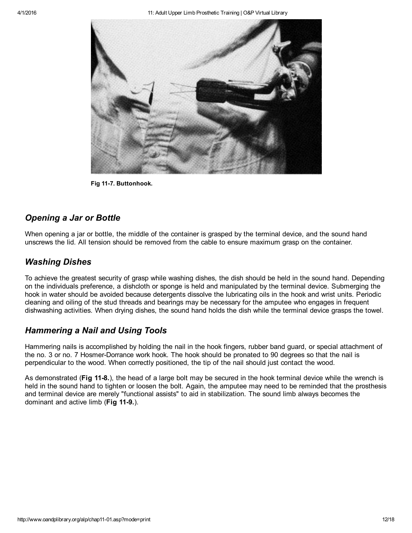

Fig 11-7. Buttonhook.

#### *Opening a Jar or Bottle*

When opening a jar or bottle, the middle of the container is grasped by the terminal device, and the sound hand unscrews the lid. All tension should be removed from the cable to ensure maximum grasp on the container.

#### *Washing Dishes*

To achieve the greatest security of grasp while washing dishes, the dish should be held in the sound hand. Depending on the individuals preference, a dishcloth or sponge is held and manipulated by the terminal device. Submerging the hook in water should be avoided because detergents dissolve the lubricating oils in the hook and wrist units. Periodic cleaning and oiling of the stud threads and bearings may be necessary for the amputee who engages in frequent dishwashing activities. When drying dishes, the sound hand holds the dish while the terminal device grasps the towel.

#### *Hammering a Nail and Using Tools*

Hammering nails is accomplished by holding the nail in the hook fingers, rubber band guard, or special attachment of the no. 3 or no. 7 Hosmer-Dorrance work hook. The hook should be pronated to 90 degrees so that the nail is perpendicular to the wood. When correctly positioned, the tip of the nail should just contact the wood.

As demonstrated (Fig 11-8.), the head of a large bolt may be secured in the hook terminal device while the wrench is held in the sound hand to tighten or loosen the bolt. Again, the amputee may need to be reminded that the prosthesis and terminal device are merely "functional assists" to aid in stabilization. The sound limb always becomes the dominant and active limb (Fig 11-9.).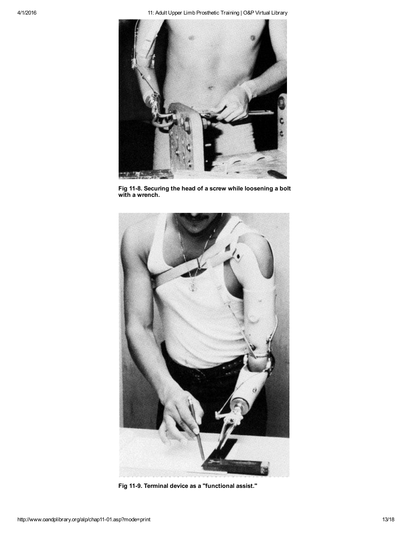

Fig 11-8. Securing the head of a screw while loosening a bolt with a wrench.



Fig 11-9. Terminal device as a "functional assist."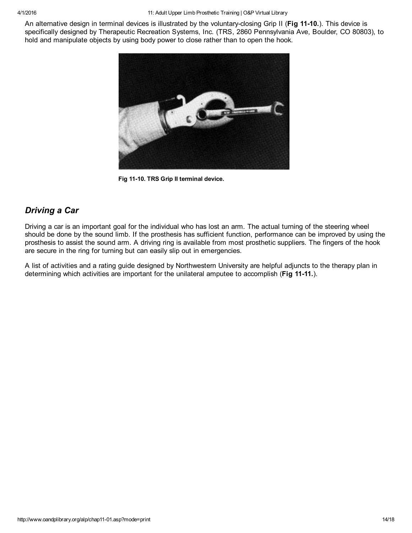An alternative design in terminal devices is illustrated by the voluntary-closing Grip II (Fig 11-10.). This device is specifically designed by Therapeutic Recreation Systems, Inc. (TRS, 2860 Pennsylvania Ave, Boulder, CO 80803), to hold and manipulate objects by using body power to close rather than to open the hook.



Fig 11-10. TRS Grip II terminal device.

## *Driving a Car*

Driving a car is an important goal for the individual who has lost an arm. The actual turning of the steering wheel should be done by the sound limb. If the prosthesis has sufficient function, performance can be improved by using the prosthesis to assist the sound arm. A driving ring is available from most prosthetic suppliers. The fingers of the hook are secure in the ring for turning but can easily slip out in emergencies.

A list of activities and a rating guide designed by Northwestern University are helpful adjuncts to the therapy plan in determining which activities are important for the unilateral amputee to accomplish (Fig 11-11.).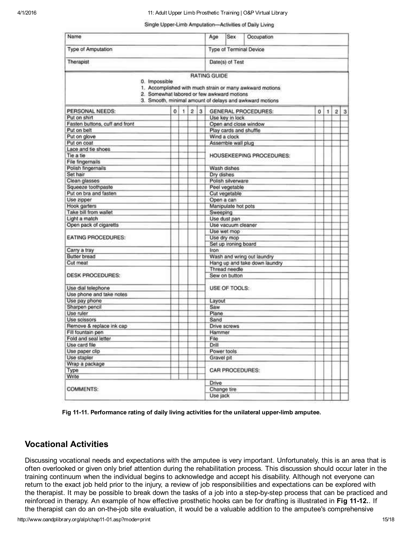#### Single Upper-Limb Amputation-Activities of Daily Living

| Name<br>Type of Amputation<br>Therapist        |                                            |   |                         |   | Age                        | Sex                | Occupation                                                                                                          |   |   |                         |   |  |
|------------------------------------------------|--------------------------------------------|---|-------------------------|---|----------------------------|--------------------|---------------------------------------------------------------------------------------------------------------------|---|---|-------------------------|---|--|
|                                                |                                            |   |                         |   | Type of Terminal Device    |                    |                                                                                                                     |   |   |                         |   |  |
|                                                |                                            |   |                         |   | Date(s) of Test            |                    |                                                                                                                     |   |   |                         |   |  |
|                                                |                                            |   |                         |   | <b>RATING GUIDE</b>        |                    |                                                                                                                     |   |   |                         |   |  |
| 0. Impossible                                  | 2. Somewhat labored or few awkward motions |   |                         |   |                            |                    | 1. Accomplished with much strain or many awkward motions<br>3. Smooth, minimal amount of delays and awkward motions |   |   |                         |   |  |
| PERSONAL NEEDS:                                | 0                                          | 1 | $\overline{\mathbf{2}}$ | 3 | <b>GENERAL PROCEDURES:</b> |                    |                                                                                                                     | o | 1 | $\overline{\mathbf{z}}$ | 3 |  |
| Put on shirt                                   |                                            |   |                         |   |                            | Use key in lock    |                                                                                                                     |   |   |                         |   |  |
| Fasten buttons, cuff and front                 |                                            |   |                         |   | Open and close window      |                    |                                                                                                                     |   |   |                         |   |  |
| Put on belt                                    |                                            |   |                         |   | Play cards and shuffle     |                    |                                                                                                                     |   |   |                         |   |  |
| Put on glove                                   |                                            |   |                         |   | Wind a clock               |                    |                                                                                                                     |   |   |                         |   |  |
| Put on coat                                    |                                            |   |                         |   |                            | Assemble wall plug |                                                                                                                     |   |   |                         |   |  |
| Lace and tie shoes                             |                                            |   |                         |   | HOUSEKEEPING PROCEDURES:   |                    |                                                                                                                     |   |   |                         |   |  |
| Tie a tie                                      |                                            |   |                         |   |                            |                    |                                                                                                                     |   |   |                         |   |  |
| File fingernails                               |                                            |   |                         |   |                            |                    |                                                                                                                     |   |   |                         |   |  |
| Polish fingernails                             |                                            |   |                         |   | Wash dishes                |                    |                                                                                                                     |   |   |                         |   |  |
| Set hair                                       |                                            |   |                         |   | Dry dishes                 |                    |                                                                                                                     |   |   |                         |   |  |
| Clean glasses                                  |                                            |   |                         |   |                            | Polish silverware  |                                                                                                                     |   |   |                         |   |  |
| Squeeze toothpaste                             |                                            |   |                         |   | Peel vegetable             |                    |                                                                                                                     |   |   |                         |   |  |
| Put on bra and fasten                          |                                            |   |                         |   | Cut vegetable              |                    |                                                                                                                     |   |   |                         |   |  |
| Use zipper                                     |                                            |   |                         |   | Open a can                 |                    |                                                                                                                     |   |   |                         |   |  |
| Hook garters                                   |                                            |   |                         |   | Manipulate hot pots        |                    |                                                                                                                     |   |   |                         |   |  |
| Take bill from wallet                          |                                            |   |                         |   | Sweeping                   |                    |                                                                                                                     |   |   |                         |   |  |
| Light a match                                  |                                            |   |                         |   | Use dust pan               |                    |                                                                                                                     |   |   |                         |   |  |
| Open pack of cigaretts                         |                                            |   |                         |   |                            | Use vacuum cleaner |                                                                                                                     |   |   |                         |   |  |
| <b>EATING PROCEDURES:</b>                      |                                            |   |                         |   | Use wet mop                |                    |                                                                                                                     |   |   |                         |   |  |
|                                                |                                            |   |                         |   | Use dry mop                |                    |                                                                                                                     |   |   |                         |   |  |
|                                                |                                            |   |                         |   | Set up ironing board       |                    |                                                                                                                     |   |   |                         |   |  |
| Carry a tray                                   |                                            |   |                         |   | Iron                       |                    |                                                                                                                     |   |   |                         |   |  |
| <b>Butter bread</b>                            |                                            |   |                         |   |                            |                    | Wash and wring out laundry                                                                                          |   |   |                         |   |  |
| Cut meat                                       |                                            |   |                         |   |                            |                    | Hang up and take down laundry                                                                                       |   |   |                         |   |  |
|                                                |                                            |   |                         |   |                            | Thread needle      |                                                                                                                     |   |   |                         |   |  |
| <b>DESK PROCEDURES:</b>                        |                                            |   |                         |   | Sew on button              |                    |                                                                                                                     |   |   |                         |   |  |
|                                                |                                            |   |                         |   | USE OF TOOLS:              |                    |                                                                                                                     |   |   |                         |   |  |
| Use dial telephone<br>Use phone and take notes |                                            |   |                         |   |                            |                    |                                                                                                                     |   |   |                         |   |  |
| Use pay phone                                  |                                            |   |                         |   | Layout                     |                    |                                                                                                                     |   |   |                         |   |  |
| Sharpen pencil                                 |                                            |   |                         |   | Saw                        |                    |                                                                                                                     |   |   |                         |   |  |
| Use ruler                                      |                                            |   |                         |   | Plane                      |                    |                                                                                                                     |   |   |                         |   |  |
| Use scissors                                   |                                            |   |                         |   | Sand                       |                    |                                                                                                                     |   |   |                         |   |  |
| Remove & replace ink cap                       |                                            |   |                         |   |                            | Drive screws       |                                                                                                                     |   |   |                         |   |  |
| Fill fountain pen                              |                                            |   |                         |   | Hammer                     |                    |                                                                                                                     |   |   |                         |   |  |
| Fold and seal letter                           |                                            |   |                         |   | File                       |                    |                                                                                                                     |   |   |                         |   |  |
| Use card file                                  |                                            |   |                         |   | Drill                      |                    |                                                                                                                     |   |   |                         |   |  |
| Use paper clip                                 |                                            |   |                         |   | Power tools                |                    |                                                                                                                     |   |   |                         |   |  |
| Use stapler                                    |                                            |   |                         |   | Gravel pit                 |                    |                                                                                                                     |   |   |                         |   |  |
| Wrap a package                                 |                                            |   |                         |   |                            |                    |                                                                                                                     |   |   |                         |   |  |
| Type                                           |                                            |   |                         |   |                            |                    | <b>CAR PROCEDURES:</b>                                                                                              |   |   |                         |   |  |
| Write                                          |                                            |   |                         |   |                            |                    |                                                                                                                     |   |   |                         |   |  |
|                                                |                                            |   |                         |   | Drive                      |                    |                                                                                                                     |   |   |                         |   |  |
| COMMENTS:                                      |                                            |   | Change tire             |   |                            |                    |                                                                                                                     |   |   |                         |   |  |
|                                                |                                            |   |                         |   | Use jack                   |                    |                                                                                                                     |   |   |                         |   |  |
|                                                |                                            |   |                         |   |                            |                    |                                                                                                                     |   |   |                         |   |  |

Fig 11-11. Performance rating of daily living activities for the unilateral upper-limb amputee.

#### Vocational Activities

Discussing vocational needs and expectations with the amputee is very important. Unfortunately, this is an area that is often overlooked or given only brief attention during the rehabilitation process. This discussion should occur later in the training continuum when the individual begins to acknowledge and accept his disability. Although not everyone can return to the exact job held prior to the injury, a review of job responsibilities and expectations can be explored with the therapist. It may be possible to break down the tasks of a job into a step-by-step process that can be practiced and reinforced in therapy. An example of how effective prosthetic hooks can be for drafting is illustrated in Fig 11-12. If the therapist can do an on-the-job site evaluation, it would be a valuable addition to the amputee's comprehensive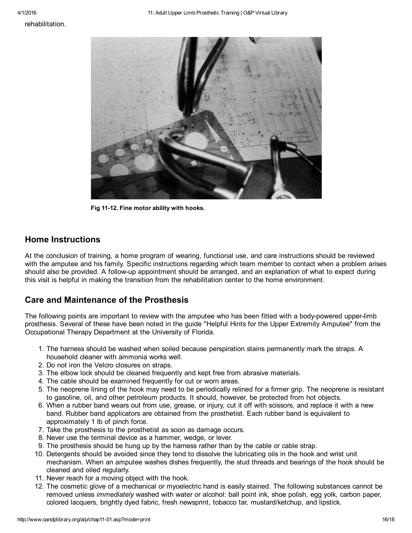rehabilitation.



Fig 11-12. Fine motor ability with hooks.

#### Home Instructions

At the conclusion of training, a home program of wearing, functional use, and care instructions should be reviewed with the amputee and his family. Specific instructions regarding which team member to contact when a problem arises should also be provided. A follow-up appointment should be arranged, and an explanation of what to expect during this visit is helpful in making the transition from the rehabilitation center to the home environment.

#### Care and Maintenance of the Prosthesis

The following points are important to review with the amputee who has been fitted with a body-powered upper-limb prosthesis. Several of these have been noted in the guide "Helpful Hints for the Upper Extremity Amputee" from the Occupational Therapy Department at the University of Florida.

- 1. The harness should be washed when soiled because perspiration stains permanently mark the straps. A household cleaner with ammonia works well.
- 2. Do not iron the Velcro closures on straps.
- 3. The elbow lock should be cleaned frequently and kept free from abrasive materials.
- 4. The cable should be examined frequently for cut or worn areas.
- 5. The neoprene lining of the hook may need to be periodically relined for a firmer grip. The neoprene is resistant to gasoline, oil, and other petroleum products. It should, however, be protected from hot objects.
- 6. When a rubber band wears out from use, grease, or injury, cut it off with scissors, and replace it with a new band. Rubber band applicators are obtained from the prosthetist. Each rubber band is equivalent to approximately 1 lb of pinch force.
- 7. Take the prosthesis to the prosthetist as soon as damage occurs.
- 8. Never use the terminal device as a hammer, wedge, or lever.
- 9. The prosthesis should be hung up by the harness rather than by the cable or cable strap.
- 10. Detergents should be avoided since they tend to dissolve the lubricating oils in the hook and wrist unit mechanism. When an amputee washes dishes frequently, the stud threads and bearings of the hook should be cleaned and oiled regularly.
- 11. Never reach for a moving object with the hook.
- 12. The cosmetic glove of a mechanical or myoelectric hand is easily stained. The following substances cannot be removed unless *immediately* washed with water or alcohol: ball point ink, shoe polish, egg yolk, carbon paper, colored lacquers, brightly dyed fabric, fresh newsprint, tobacco tar, mustard/ketchup, and lipstick.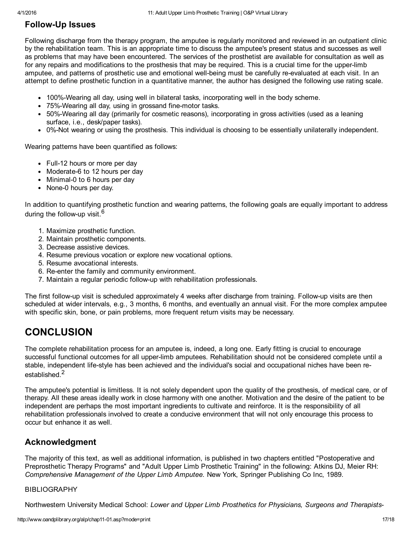## **Follow-Up Issues**

Following discharge from the therapy program, the amputee is regularly monitored and reviewed in an outpatient clinic by the rehabilitation team. This is an appropriate time to discuss the amputee's present status and successes as well as problems that may have been encountered. The services of the prosthetist are available for consultation as well as for any repairs and modifications to the prosthesis that may be required. This is a crucial time for the upperlimb amputee, and patterns of prosthetic use and emotional well-being must be carefully re-evaluated at each visit. In an attempt to define prosthetic function in a quantitative manner, the author has designed the following use rating scale.

- 100%-Wearing all day, using well in bilateral tasks, incorporating well in the body scheme.
- 75%-Wearing all day, using in grossand fine-motor tasks.
- 50%Wearing all day (primarily for cosmetic reasons), incorporating in gross activities (used as a leaning surface, i.e., desk/paper tasks).
- 0%Not wearing or using the prosthesis. This individual is choosing to be essentially unilaterally independent.

Wearing patterns have been quantified as follows:

- Full-12 hours or more per day
- Moderate-6 to 12 hours per day
- Minimal-0 to 6 hours per day
- None-0 hours per day.

In addition to quantifying prosthetic function and wearing patterns, the following goals are equally important to address during the follow-up visit.<sup>6</sup>

- 1. Maximize prosthetic function.
- 2. Maintain prosthetic components.
- 3. Decrease assistive devices.
- 4. Resume previous vocation or explore new vocational options.
- 5. Resume avocational interests.
- 6. Re-enter the family and community environment.
- 7. Maintain a regular periodic followup with rehabilitation professionals.

The first follow-up visit is scheduled approximately 4 weeks after discharge from training. Follow-up visits are then scheduled at wider intervals, e.g., 3 months, 6 months, and eventually an annual visit. For the more complex amputee with specific skin, bone, or pain problems, more frequent return visits may be necessary.

# **CONCLUSION**

The complete rehabilitation process for an amputee is, indeed, a long one. Early fitting is crucial to encourage successful functional outcomes for all upperlimb amputees. Rehabilitation should not be considered complete until a stable, independent life-style has been achieved and the individual's social and occupational niches have been reestablished. 2

The amputee's potential is limitless. It is not solely dependent upon the quality of the prosthesis, of medical care, or of therapy. All these areas ideally work in close harmony with one another. Motivation and the desire of the patient to be independent are perhaps the most important ingredients to cultivate and reinforce. It is the responsibility of all rehabilitation professionals involved to create a conducive environment that will not only encourage this process to occur but enhance it as well.

## Acknowledgment

The majority of this text, as well as additional information, is published in two chapters entitled "Postoperative and Preprosthetic Therapy Programs" and "Adult Upper Limb Prosthetic Training" in the following: Atkins DJ, Meier RH: *Comprehensive Management of the Upper Limb Amputee.* New York, Springer Publishing Co Inc, 1989.

#### BIBLIOGRAPHY

Northwestern University Medical School: *Lower and Upper Limb Prosthetics for Physicians, Surgeons and Therapists*